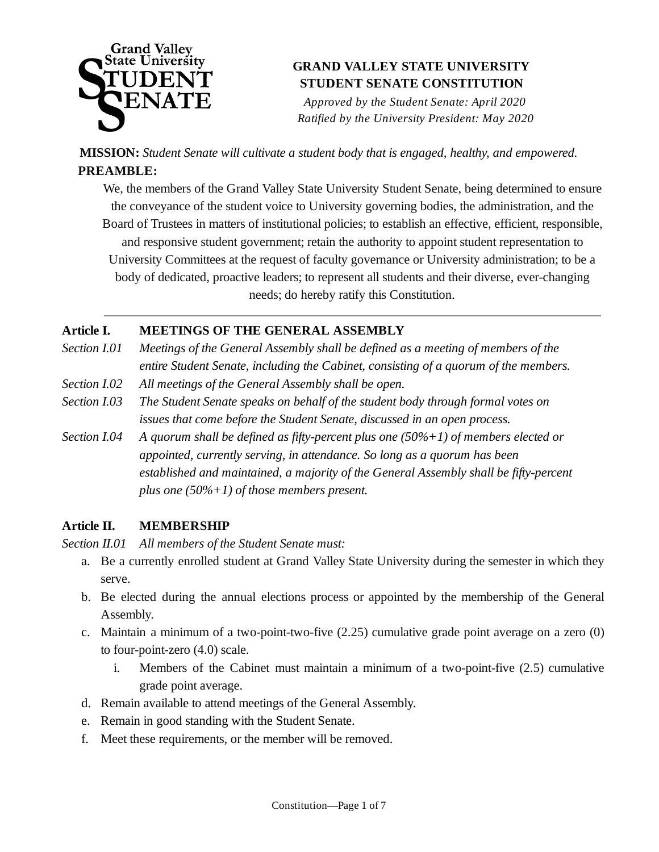

*Approved by the Student Senate: April 2020 Ratified by the University President: May 2020*

**MISSION:** *Student Senate will cultivate a student body that is engaged, healthy, and empowered.*   **PREAMBLE:**

We, the members of the Grand Valley State University Student Senate, being determined to ensure the conveyance of the student voice to University governing bodies, the administration, and the Board of Trustees in matters of institutional policies; to establish an effective, efficient, responsible, and responsive student government; retain the authority to appoint student representation to University Committees at the request of faculty governance or University administration; to be a body of dedicated, proactive leaders; to represent all students and their diverse, ever-changing needs; do hereby ratify this Constitution.

### **Article I. MEETINGS OF THE GENERAL ASSEMBLY**

- *Section I.01 Meetings of the General Assembly shall be defined as a meeting of members of the entire Student Senate, including the Cabinet, consisting of a quorum of the members.*
- *Section I.02 All meetings of the General Assembly shall be open.*
- *Section I.03 The Student Senate speaks on behalf of the student body through formal votes on issues that come before the Student Senate, discussed in an open process.*
- *Section I.04 A quorum shall be defined as fifty-percent plus one (50%+1) of members elected or appointed, currently serving, in attendance. So long as a quorum has been established and maintained, a majority of the General Assembly shall be fifty-percent plus one (50%+1) of those members present.*

### **Article II. MEMBERSHIP**

*Section II.01 All members of the Student Senate must:*

- a. Be a currently enrolled student at Grand Valley State University during the semester in which they serve.
- b. Be elected during the annual elections process or appointed by the membership of the General Assembly.
- c. Maintain a minimum of a two-point-two-five (2.25) cumulative grade point average on a zero (0) to four-point-zero (4.0) scale.
	- i. Members of the Cabinet must maintain a minimum of a two-point-five (2.5) cumulative grade point average.
- d. Remain available to attend meetings of the General Assembly.
- e. Remain in good standing with the Student Senate.
- f. Meet these requirements, or the member will be removed.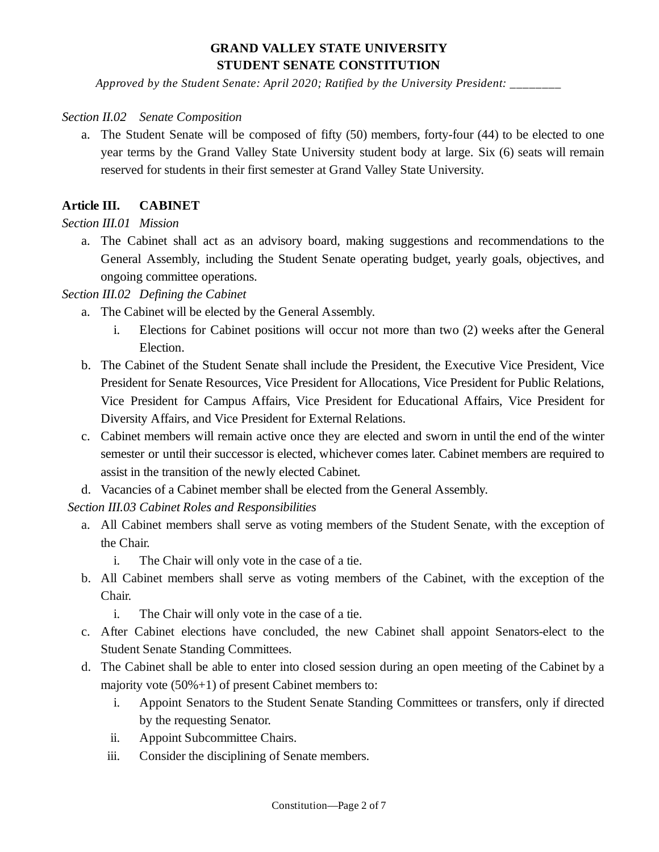*Approved by the Student Senate: April 2020; Ratified by the University President: \_\_\_\_\_\_\_\_*

#### *Section II.02 Senate Composition*

a. The Student Senate will be composed of fifty (50) members, forty-four (44) to be elected to one year terms by the Grand Valley State University student body at large. Six (6) seats will remain reserved for students in their first semester at Grand Valley State University.

### **Article III. CABINET**

### *Section III.01 Mission*

a. The Cabinet shall act as an advisory board, making suggestions and recommendations to the General Assembly, including the Student Senate operating budget, yearly goals, objectives, and ongoing committee operations.

#### *Section III.02 Defining the Cabinet*

- a. The Cabinet will be elected by the General Assembly.
	- i. Elections for Cabinet positions will occur not more than two (2) weeks after the General Election.
- b. The Cabinet of the Student Senate shall include the President, the Executive Vice President, Vice President for Senate Resources, Vice President for Allocations, Vice President for Public Relations, Vice President for Campus Affairs, Vice President for Educational Affairs, Vice President for Diversity Affairs, and Vice President for External Relations.
- c. Cabinet members will remain active once they are elected and sworn in until the end of the winter semester or until their successor is elected, whichever comes later. Cabinet members are required to assist in the transition of the newly elected Cabinet.
- d. Vacancies of a Cabinet member shall be elected from the General Assembly.

### *Section III.03 Cabinet Roles and Responsibilities*

- a. All Cabinet members shall serve as voting members of the Student Senate, with the exception of the Chair.
	- i. The Chair will only vote in the case of a tie.
- b. All Cabinet members shall serve as voting members of the Cabinet, with the exception of the Chair.
	- i. The Chair will only vote in the case of a tie.
- c. After Cabinet elections have concluded, the new Cabinet shall appoint Senators-elect to the Student Senate Standing Committees.
- d. The Cabinet shall be able to enter into closed session during an open meeting of the Cabinet by a majority vote (50%+1) of present Cabinet members to:
	- i. Appoint Senators to the Student Senate Standing Committees or transfers, only if directed by the requesting Senator.
	- ii. Appoint Subcommittee Chairs.
	- iii. Consider the disciplining of Senate members.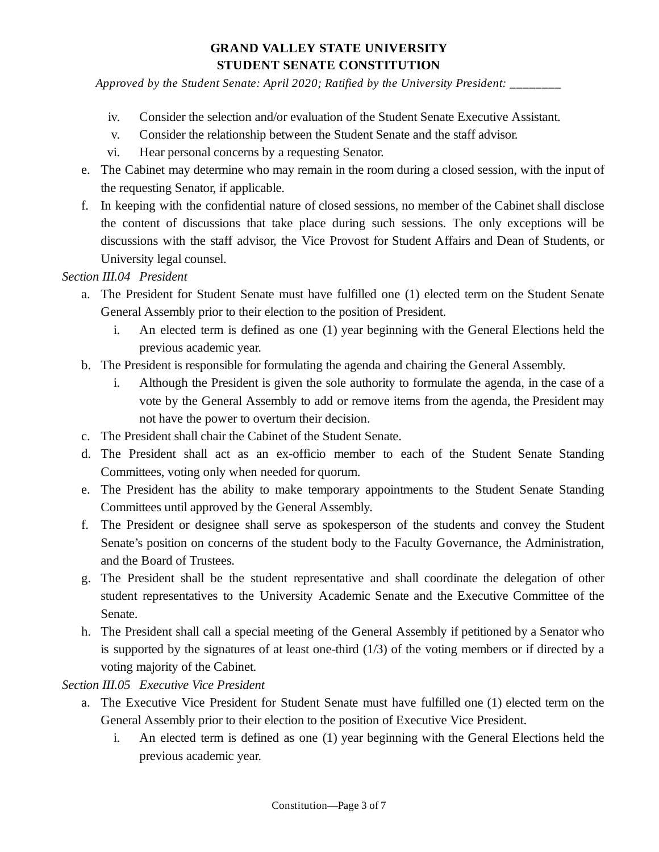*Approved by the Student Senate: April 2020; Ratified by the University President: \_\_\_\_\_\_\_\_*

- iv. Consider the selection and/or evaluation of the Student Senate Executive Assistant.
- v. Consider the relationship between the Student Senate and the staff advisor.
- vi. Hear personal concerns by a requesting Senator.
- e. The Cabinet may determine who may remain in the room during a closed session, with the input of the requesting Senator, if applicable.
- f. In keeping with the confidential nature of closed sessions, no member of the Cabinet shall disclose the content of discussions that take place during such sessions. The only exceptions will be discussions with the staff advisor, the Vice Provost for Student Affairs and Dean of Students, or University legal counsel.

### *Section III.04 President*

- a. The President for Student Senate must have fulfilled one (1) elected term on the Student Senate General Assembly prior to their election to the position of President.
	- i. An elected term is defined as one (1) year beginning with the General Elections held the previous academic year.
- b. The President is responsible for formulating the agenda and chairing the General Assembly.
	- i. Although the President is given the sole authority to formulate the agenda, in the case of a vote by the General Assembly to add or remove items from the agenda, the President may not have the power to overturn their decision.
- c. The President shall chair the Cabinet of the Student Senate.
- d. The President shall act as an ex-officio member to each of the Student Senate Standing Committees, voting only when needed for quorum.
- e. The President has the ability to make temporary appointments to the Student Senate Standing Committees until approved by the General Assembly.
- f. The President or designee shall serve as spokesperson of the students and convey the Student Senate's position on concerns of the student body to the Faculty Governance, the Administration, and the Board of Trustees.
- g. The President shall be the student representative and shall coordinate the delegation of other student representatives to the University Academic Senate and the Executive Committee of the Senate.
- h. The President shall call a special meeting of the General Assembly if petitioned by a Senator who is supported by the signatures of at least one-third (1/3) of the voting members or if directed by a voting majority of the Cabinet.

*Section III.05 Executive Vice President*

- a. The Executive Vice President for Student Senate must have fulfilled one (1) elected term on the General Assembly prior to their election to the position of Executive Vice President.
	- i. An elected term is defined as one (1) year beginning with the General Elections held the previous academic year.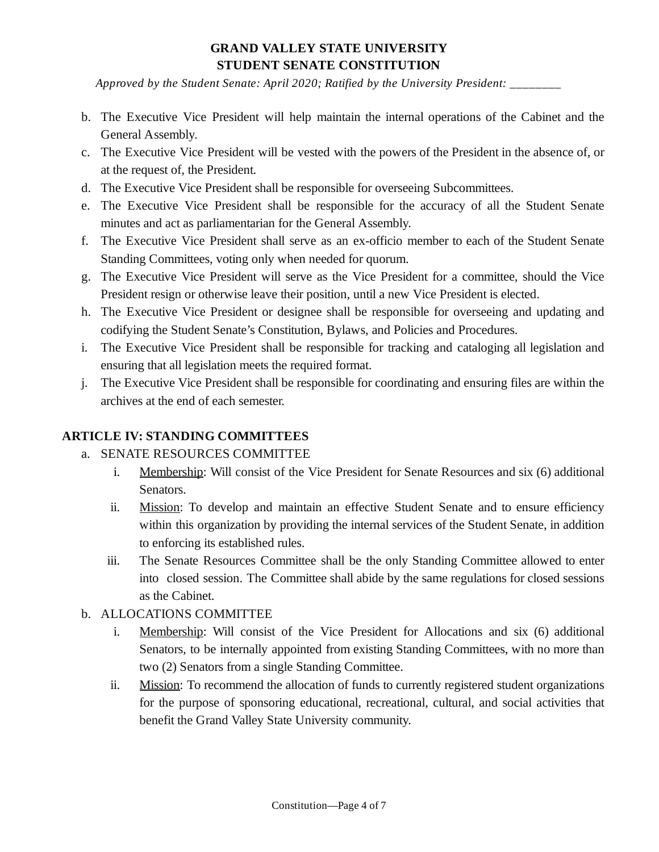*Approved by the Student Senate: April 2020; Ratified by the University President: \_\_\_\_\_\_\_\_*

- b. The Executive Vice President will help maintain the internal operations of the Cabinet and the General Assembly.
- c. The Executive Vice President will be vested with the powers of the President in the absence of, or at the request of, the President.
- d. The Executive Vice President shall be responsible for overseeing Subcommittees.
- e. The Executive Vice President shall be responsible for the accuracy of all the Student Senate minutes and act as parliamentarian for the General Assembly.
- f. The Executive Vice President shall serve as an ex-officio member to each of the Student Senate Standing Committees, voting only when needed for quorum.
- g. The Executive Vice President will serve as the Vice President for a committee, should the Vice President resign or otherwise leave their position, until a new Vice President is elected.
- h. The Executive Vice President or designee shall be responsible for overseeing and updating and codifying the Student Senate's Constitution, Bylaws, and Policies and Procedures.
- i. The Executive Vice President shall be responsible for tracking and cataloging all legislation and ensuring that all legislation meets the required format.
- j. The Executive Vice President shall be responsible for coordinating and ensuring files are within the archives at the end of each semester.

### **ARTICLE IV: STANDING COMMITTEES**

- a. SENATE RESOURCES COMMITTEE
	- i. Membership: Will consist of the Vice President for Senate Resources and six (6) additional Senators.
	- ii. Mission: To develop and maintain an effective Student Senate and to ensure efficiency within this organization by providing the internal services of the Student Senate, in addition to enforcing its established rules.
	- iii. The Senate Resources Committee shall be the only Standing Committee allowed to enter into closed session. The Committee shall abide by the same regulations for closed sessions as the Cabinet.
- b. ALLOCATIONS COMMITTEE
	- i. Membership: Will consist of the Vice President for Allocations and six (6) additional Senators, to be internally appointed from existing Standing Committees, with no more than two (2) Senators from a single Standing Committee.
	- ii. Mission: To recommend the allocation of funds to currently registered student organizations for the purpose of sponsoring educational, recreational, cultural, and social activities that benefit the Grand Valley State University community.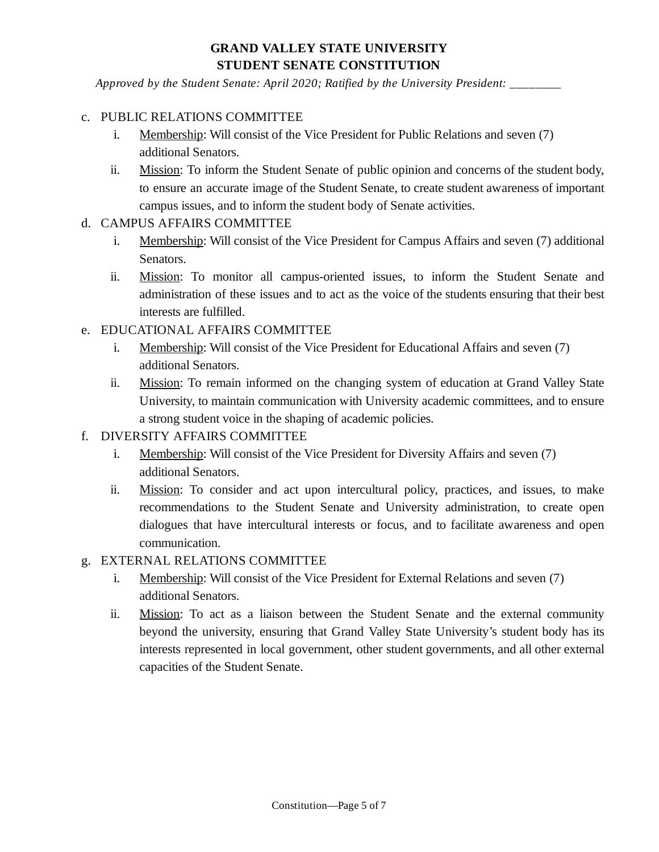*Approved by the Student Senate: April 2020; Ratified by the University President: \_\_\_\_\_\_\_\_*

### c. PUBLIC RELATIONS COMMITTEE

- i. Membership: Will consist of the Vice President for Public Relations and seven (7) additional Senators.
- ii. Mission: To inform the Student Senate of public opinion and concerns of the student body, to ensure an accurate image of the Student Senate, to create student awareness of important campus issues, and to inform the student body of Senate activities.
- d. CAMPUS AFFAIRS COMMITTEE
	- i. Membership: Will consist of the Vice President for Campus Affairs and seven (7) additional Senators.
	- ii. Mission: To monitor all campus-oriented issues, to inform the Student Senate and administration of these issues and to act as the voice of the students ensuring that their best interests are fulfilled.
- e. EDUCATIONAL AFFAIRS COMMITTEE
	- i. Membership: Will consist of the Vice President for Educational Affairs and seven (7) additional Senators.
	- ii. Mission: To remain informed on the changing system of education at Grand Valley State University, to maintain communication with University academic committees, and to ensure a strong student voice in the shaping of academic policies.
- f. DIVERSITY AFFAIRS COMMITTEE
	- i. Membership: Will consist of the Vice President for Diversity Affairs and seven (7) additional Senators.
	- ii. Mission: To consider and act upon intercultural policy, practices, and issues, to make recommendations to the Student Senate and University administration, to create open dialogues that have intercultural interests or focus, and to facilitate awareness and open communication.
- g. EXTERNAL RELATIONS COMMITTEE
	- i. Membership: Will consist of the Vice President for External Relations and seven (7) additional Senators.
	- ii. Mission: To act as a liaison between the Student Senate and the external community beyond the university, ensuring that Grand Valley State University's student body has its interests represented in local government, other student governments, and all other external capacities of the Student Senate.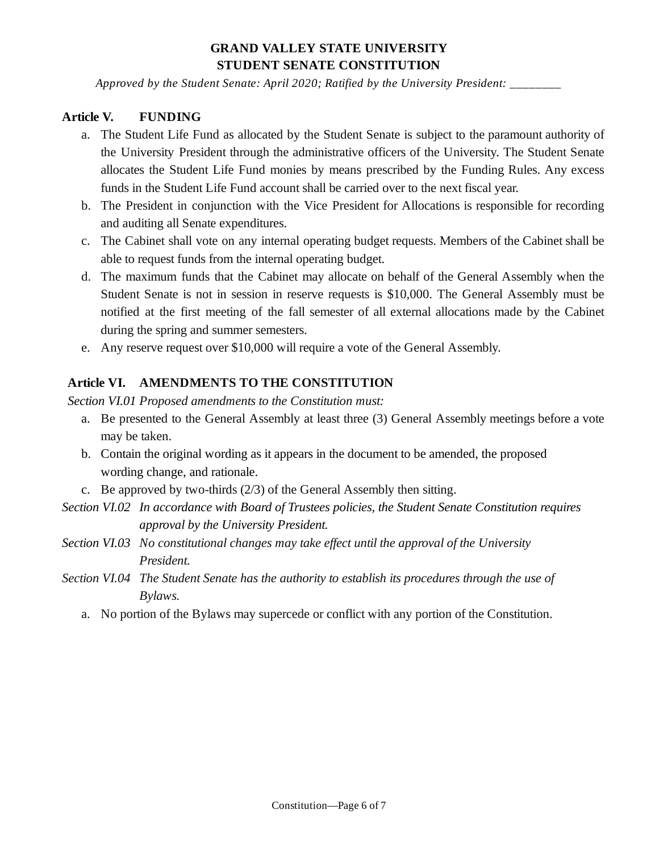*Approved by the Student Senate: April 2020; Ratified by the University President: \_\_\_\_\_\_\_\_*

#### **Article V. FUNDING**

- a. The Student Life Fund as allocated by the Student Senate is subject to the paramount authority of the University President through the administrative officers of the University. The Student Senate allocates the Student Life Fund monies by means prescribed by the Funding Rules. Any excess funds in the Student Life Fund account shall be carried over to the next fiscal year.
- b. The President in conjunction with the Vice President for Allocations is responsible for recording and auditing all Senate expenditures.
- c. The Cabinet shall vote on any internal operating budget requests. Members of the Cabinet shall be able to request funds from the internal operating budget.
- d. The maximum funds that the Cabinet may allocate on behalf of the General Assembly when the Student Senate is not in session in reserve requests is \$10,000. The General Assembly must be notified at the first meeting of the fall semester of all external allocations made by the Cabinet during the spring and summer semesters.
- e. Any reserve request over \$10,000 will require a vote of the General Assembly.

### **Article VI. AMENDMENTS TO THE CONSTITUTION**

*Section VI.01 Proposed amendments to the Constitution must:*

- a. Be presented to the General Assembly at least three (3) General Assembly meetings before a vote may be taken.
- b. Contain the original wording as it appears in the document to be amended, the proposed wording change, and rationale.
- c. Be approved by two-thirds (2/3) of the General Assembly then sitting.
- *Section VI.02 In accordance with Board of Trustees policies, the Student Senate Constitution requires approval by the University President.*
- *Section VI.03 No constitutional changes may take effect until the approval of the University President.*
- *Section VI.04 The Student Senate has the authority to establish its procedures through the use of Bylaws.* 
	- a. No portion of the Bylaws may supercede or conflict with any portion of the Constitution.